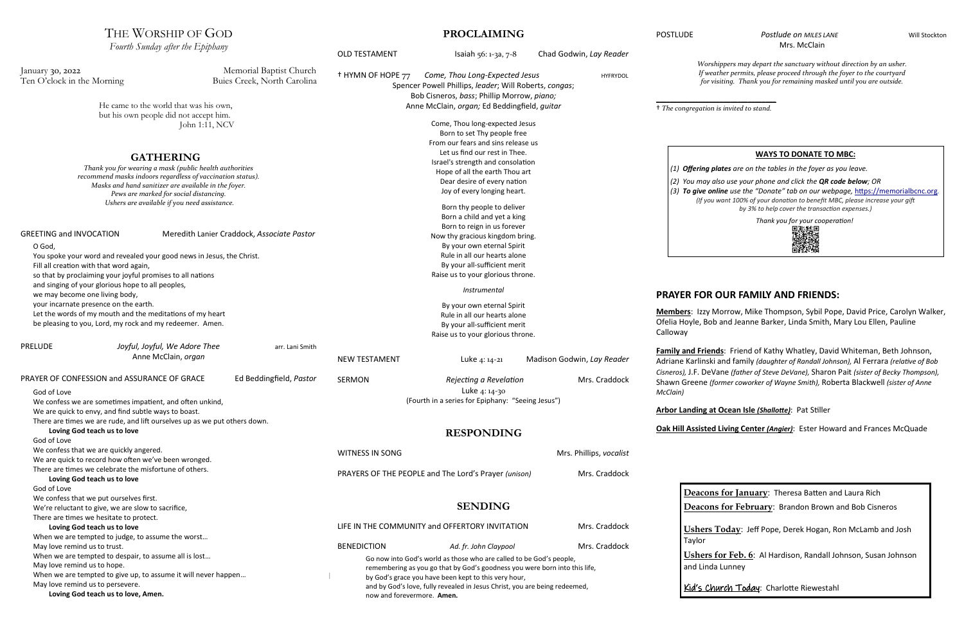### **PROCLAIMING**

# THE WORSHIP OF GOD

#### POSTLUDE POSTLUDE POSTLUDE POSTLUDE Mrs. McClain



OLD TESTAMENT Isaiah 56: 1-3a, 7-8 Chad Godwin, *Lay Reader* † HYMN OF HOPE 77 *Come, Thou Long-Expected Jesus* HYFRYDOL Spencer Powell Phillips, *leader*; Will Roberts, *congas*; Bob Cisneros, *bass*; Phillip Morrow, *piano;*  Anne McClain, *organ;* Ed Beddingfield, *guitar* Come, Thou long-expected Jesus Born to set Thy people free From our fears and sins release us Let us find our rest in Thee. Israel's strength and consolation Hope of all the earth Thou art Dear desire of every nation Joy of every longing heart. Born thy people to deliver Born a child and yet a king Born to reign in us forever Now thy gracious kingdom bring. By your own eternal Spirit Rule in all our hearts alone By your all-sufficient merit Raise us to your glorious throne. *Instrumental* By your own eternal Spirit Rule in all our hearts alone By your all-sufficient merit Raise us to your glorious throne. NEW TESTAMENT Luke 4: 14-21 Madison Godwin, *Lay Reader* SERMON *Rejecting a Revelation* Mrs. Craddock Luke 4: 14-30 (Fourth in a series for Epiphany: "Seeing Jesus") **RESPONDING** WITNESS IN SONG **Mrs. Phillips,** *vocalist* Mrs. Phillips, *vocalist* PRAYERS OF THE PEOPLE and The Lord's Prayer *(unison)* Mrs. Craddock **SENDING** LIFE IN THE COMMUNITY and OFFERTORY INVITATION Mrs. Craddock BENEDICTION *Ad. fr. John Claypool* Mrs. Craddock Go now into God's world as those who are called to be God's people, remembering as you go that by God's goodness you were born into this life, by God's grace you have been kept to this very hour, and by God's love, fully revealed in Jesus Christ, you are being redeemed, now and forevermore. **Amen.** *Fourth Sunday after the Epiphany* January 30, 2022 Memorial Baptist Church Ten O'clock in the Morning Buies Creek, North Carolina He came to the world that was his own, but his own people did not accept him. John 1:11, NCV **GATHERING** *Thank you for wearing a mask (public health authorities recommend masks indoors regardless of vaccination status). Masks and hand sanitizer are available in the foyer. Pews are marked for social distancing. Ushers are available if you need assistance.* GREETING and INVOCATION Meredith Lanier Craddock, *Associate Pastor* O God, You spoke your word and revealed your good news in Jesus, the Christ. Fill all creation with that word again, so that by proclaiming your joyful promises to all nations and singing of your glorious hope to all peoples, we may become one living body, your incarnate presence on the earth. Let the words of my mouth and the meditations of my heart be pleasing to you, Lord, my rock and my redeemer. Amen. PRELUDE *Joyful, Joyful, We Adore Thee* arr. Lani Smith Anne McClain, *organ* PRAYER OF CONFESSION and ASSURANCE OF GRACE Ed Beddingfield, *Pastor* God of Love We confess we are sometimes impatient, and often unkind, We are quick to envy, and find subtle ways to boast. There are times we are rude, and lift ourselves up as we put others down. **Loving God teach us to love** God of Love We confess that we are quickly angered. We are quick to record how often we've been wronged. There are times we celebrate the misfortune of others. **Loving God teach us to love** God of Love We confess that we put ourselves first. We're reluctant to give, we are slow to sacrifice, There are times we hesitate to protect. **Loving God teach us to love** When we are tempted to judge, to assume the worst… May love remind us to trust. When we are tempted to despair, to assume all is lost… May love remind us to hope. When we are tempted to give up, to assume it will never happen… May love remind us to persevere. **Loving God teach us to love, Amen.** l *Worshippers may depart the sanctuary without direction by an usher. If weather permits, please proceed through the foyer to the courtyard for visiting. Thank you for remaining masked until you are outside.* \_\_\_\_\_\_\_\_\_\_\_\_\_\_\_\_\_\_\_\_\_\_\_\_\_\_\_\_\_\_\_\_\_\_ † *The congregation is invited to stand.* **PRAYER FOR OUR FAMILY AND FRIENDS: Members**: Izzy Morrow, Mike Thompson, Sybil Pope, David Price, Carolyn Walker, Ofelia Hoyle, Bob and Jeanne Barker, Linda Smith, Mary Lou Ellen, Pauline Calloway **Family and Friends**: Friend of Kathy Whatley, David Whiteman, Beth Johnson, Adriane Karlinski and family *(daughter of Randall Johnson),* Al Ferrara *(relative of Bob Cisneros),* J.F. DeVane *(father of Steve DeVane),* Sharon Pait *(sister of Becky Thompson),*  Shawn Greene *(former coworker of Wayne Smith),* Roberta Blackwell *(sister of Anne McClain)* **Arbor Landing at Ocean Isle** *(Shallotte)*: Pat Stiller **Oak Hill Assisted Living Center** *(Angier)*: Ester Howard and Frances McQuade **Deacons for January**: Theresa Batten and Laura Rich **Deacons for February**: Brandon Brown and Bob Cisneros **Ushers Today**: Jeff Pope, Derek Hogan, Ron McLamb and Josh Taylor **Ushers for Feb. 6**: Al Hardison, Randall Johnson, Susan Johnson and Linda Lunney Kid's Church Today: Charlotte Riewestahl **WAYS TO DONATE TO MBC:** *(1) Offering plates are on the tables in the foyer as you leave. (2) You may also use your phone and click the QR code below; OR (3) To give online use the "Donate" tab on our webpage,* [https://memorialbcnc.org](https://memorialbcnc.org/)*. (If you want 100% of your donation to benefit MBC, please increase your gift by 3% to help cover the transaction expenses.) Thank you for your cooperation!*